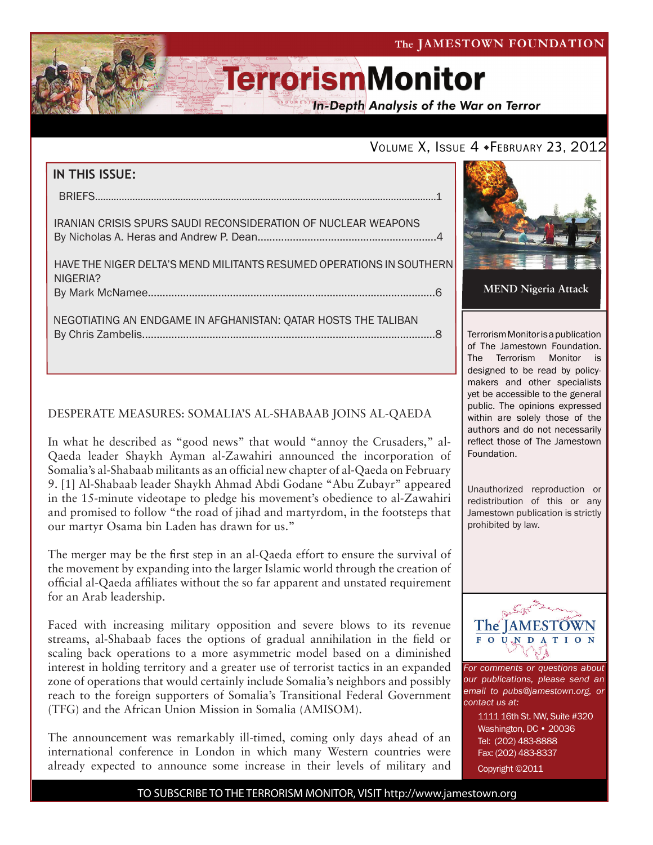### The JAMESTOWN FOUNDATION

# **TerrorismMonitor**

**In-Depth Analysis of the War on Terror** 

## VOLUME X, ISSUE 4 · FEBRUARY 23, 2012

| IN THIS ISSUE:                                                                   |
|----------------------------------------------------------------------------------|
|                                                                                  |
| <b>IRANIAN CRISIS SPURS SAUDI RECONSIDERATION OF NUCLEAR WEAPONS</b>             |
| HAVE THE NIGER DELTA'S MEND MILITANTS RESUMED OPERATIONS IN SOUTHERN<br>NIGERIA? |
|                                                                                  |
| NEGOTIATING AN ENDGAME IN AFGHANISTAN: QATAR HOSTS THE TALIBAN                   |

### DESPERATE MEASURES: SOMALIA'S AL-SHABAAB JOINS AL-QAEDA

In what he described as "good news" that would "annoy the Crusaders," al-Qaeda leader Shaykh Ayman al-Zawahiri announced the incorporation of Somalia's al-Shabaab militants as an official new chapter of al-Qaeda on February 9. [1] Al-Shabaab leader Shaykh Ahmad Abdi Godane "Abu Zubayr" appeared in the 15-minute videotape to pledge his movement's obedience to al-Zawahiri and promised to follow "the road of jihad and martyrdom, in the footsteps that our martyr Osama bin Laden has drawn for us."

The merger may be the first step in an al-Qaeda effort to ensure the survival of the movement by expanding into the larger Islamic world through the creation of official al-Qaeda affiliates without the so far apparent and unstated requirement for an Arab leadership.

Faced with increasing military opposition and severe blows to its revenue streams, al-Shabaab faces the options of gradual annihilation in the field or scaling back operations to a more asymmetric model based on a diminished interest in holding territory and a greater use of terrorist tactics in an expanded zone of operations that would certainly include Somalia's neighbors and possibly reach to the foreign supporters of Somalia's Transitional Federal Government (TFG) and the African Union Mission in Somalia (AMISOM).

The announcement was remarkably ill-timed, coming only days ahead of an international conference in London in which many Western countries were already expected to announce some increase in their levels of military and



Terrorism Monitor is a publication of The Jamestown Foundation. The Terrorism Monitor is designed to be read by policymakers and other specialists yet be accessible to the general public. The opinions expressed within are solely those of the authors and do not necessarily reflect those of The Jamestown Foundation.

Unauthorized reproduction or redistribution of this or any Jamestown publication is strictly prohibited by law.



*For comments or questions about our publications, please send an email to pubs@jamestown.org, or contact us at:* 

> 1111 16th St. NW, Suite #320 Washington, DC • 20036 Tel: (202) 483-8888 Fax: (202) 483-8337 Copyright ©2011

TO SUBSCRIBE TO THE TERRORISM MONITOR, VISIT http://www.jamestown.org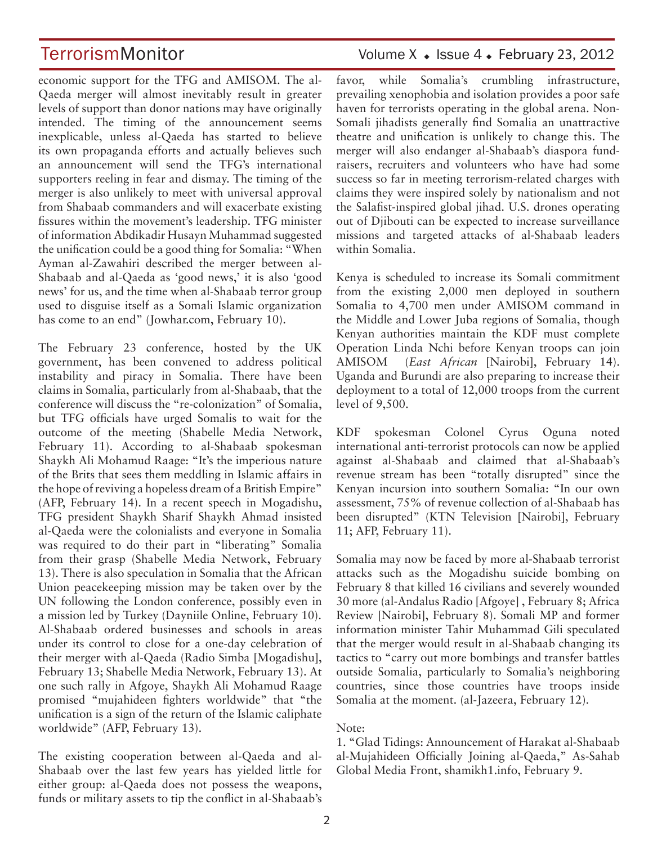economic support for the TFG and AMISOM. The al-Qaeda merger will almost inevitably result in greater levels of support than donor nations may have originally intended. The timing of the announcement seems inexplicable, unless al-Qaeda has started to believe its own propaganda efforts and actually believes such an announcement will send the TFG's international supporters reeling in fear and dismay. The timing of the merger is also unlikely to meet with universal approval from Shabaab commanders and will exacerbate existing fissures within the movement's leadership. TFG minister of information Abdikadir Husayn Muhammad suggested the unification could be a good thing for Somalia: "When Ayman al-Zawahiri described the merger between al-Shabaab and al-Qaeda as 'good news,' it is also 'good news' for us, and the time when al-Shabaab terror group used to disguise itself as a Somali Islamic organization has come to an end" (Jowhar.com, February 10).

The February 23 conference, hosted by the UK government, has been convened to address political instability and piracy in Somalia. There have been claims in Somalia, particularly from al-Shabaab, that the conference will discuss the "re-colonization" of Somalia, but TFG officials have urged Somalis to wait for the outcome of the meeting (Shabelle Media Network, February 11). According to al-Shabaab spokesman Shaykh Ali Mohamud Raage: "It's the imperious nature of the Brits that sees them meddling in Islamic affairs in the hope of reviving a hopeless dream of a British Empire" (AFP, February 14). In a recent speech in Mogadishu, TFG president Shaykh Sharif Shaykh Ahmad insisted al-Qaeda were the colonialists and everyone in Somalia was required to do their part in "liberating" Somalia from their grasp (Shabelle Media Network, February 13). There is also speculation in Somalia that the African Union peacekeeping mission may be taken over by the UN following the London conference, possibly even in a mission led by Turkey (Dayniile Online, February 10). Al-Shabaab ordered businesses and schools in areas under its control to close for a one-day celebration of their merger with al-Qaeda (Radio Simba [Mogadishu], February 13; Shabelle Media Network, February 13). At one such rally in Afgoye, Shaykh Ali Mohamud Raage promised "mujahideen fighters worldwide" that "the unification is a sign of the return of the Islamic caliphate worldwide" (AFP, February 13).

The existing cooperation between al-Qaeda and al-Shabaab over the last few years has yielded little for either group: al-Qaeda does not possess the weapons, funds or military assets to tip the conflict in al-Shabaab's

## TerrorismMonitor Volume X + Issue 4 + February 23, 2012

favor, while Somalia's crumbling infrastructure, prevailing xenophobia and isolation provides a poor safe haven for terrorists operating in the global arena. Non-Somali jihadists generally find Somalia an unattractive theatre and unification is unlikely to change this. The merger will also endanger al-Shabaab's diaspora fundraisers, recruiters and volunteers who have had some success so far in meeting terrorism-related charges with claims they were inspired solely by nationalism and not the Salafist-inspired global jihad. U.S. drones operating out of Djibouti can be expected to increase surveillance missions and targeted attacks of al-Shabaab leaders within Somalia.

Kenya is scheduled to increase its Somali commitment from the existing 2,000 men deployed in southern Somalia to 4,700 men under AMISOM command in the Middle and Lower Juba regions of Somalia, though Kenyan authorities maintain the KDF must complete Operation Linda Nchi before Kenyan troops can join AMISOM (*East African* [Nairobi], February 14). Uganda and Burundi are also preparing to increase their deployment to a total of 12,000 troops from the current level of 9,500.

KDF spokesman Colonel Cyrus Oguna noted international anti-terrorist protocols can now be applied against al-Shabaab and claimed that al-Shabaab's revenue stream has been "totally disrupted" since the Kenyan incursion into southern Somalia: "In our own assessment, 75% of revenue collection of al-Shabaab has been disrupted" (KTN Television [Nairobi], February 11; AFP, February 11).

Somalia may now be faced by more al-Shabaab terrorist attacks such as the Mogadishu suicide bombing on February 8 that killed 16 civilians and severely wounded 30 more (al-Andalus Radio [Afgoye] , February 8; Africa Review [Nairobi], February 8). Somali MP and former information minister Tahir Muhammad Gili speculated that the merger would result in al-Shabaab changing its tactics to "carry out more bombings and transfer battles outside Somalia, particularly to Somalia's neighboring countries, since those countries have troops inside Somalia at the moment. (al-Jazeera, February 12).

#### Note:

1. "Glad Tidings: Announcement of Harakat al-Shabaab al-Mujahideen Officially Joining al-Qaeda," As-Sahab Global Media Front, shamikh1.info, February 9.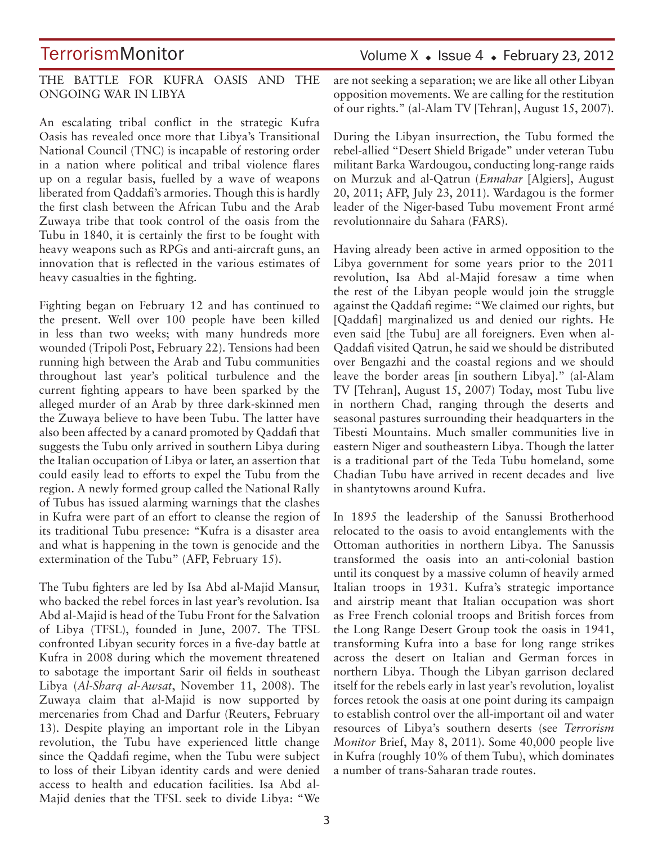THE BATTLE FOR KUFRA OASIS AND THE ONGOING WAR IN LIBYA

An escalating tribal conflict in the strategic Kufra Oasis has revealed once more that Libya's Transitional National Council (TNC) is incapable of restoring order in a nation where political and tribal violence flares up on a regular basis, fuelled by a wave of weapons liberated from Qaddafi's armories. Though this is hardly the first clash between the African Tubu and the Arab Zuwaya tribe that took control of the oasis from the Tubu in 1840, it is certainly the first to be fought with heavy weapons such as RPGs and anti-aircraft guns, an innovation that is reflected in the various estimates of heavy casualties in the fighting.

Fighting began on February 12 and has continued to the present. Well over 100 people have been killed in less than two weeks; with many hundreds more wounded (Tripoli Post, February 22). Tensions had been running high between the Arab and Tubu communities throughout last year's political turbulence and the current fighting appears to have been sparked by the alleged murder of an Arab by three dark-skinned men the Zuwaya believe to have been Tubu. The latter have also been affected by a canard promoted by Qaddafi that suggests the Tubu only arrived in southern Libya during the Italian occupation of Libya or later, an assertion that could easily lead to efforts to expel the Tubu from the region. A newly formed group called the National Rally of Tubus has issued alarming warnings that the clashes in Kufra were part of an effort to cleanse the region of its traditional Tubu presence: "Kufra is a disaster area and what is happening in the town is genocide and the extermination of the Tubu" (AFP, February 15).

The Tubu fighters are led by Isa Abd al-Majid Mansur, who backed the rebel forces in last year's revolution. Isa Abd al-Majid is head of the Tubu Front for the Salvation of Libya (TFSL), founded in June, 2007. The TFSL confronted Libyan security forces in a five-day battle at Kufra in 2008 during which the movement threatened to sabotage the important Sarir oil fields in southeast Libya (*Al-Sharq al-Awsat*, November 11, 2008). The Zuwaya claim that al-Majid is now supported by mercenaries from Chad and Darfur (Reuters, February 13). Despite playing an important role in the Libyan revolution, the Tubu have experienced little change since the Qaddafi regime, when the Tubu were subject to loss of their Libyan identity cards and were denied access to health and education facilities. Isa Abd al-Majid denies that the TFSL seek to divide Libya: "We

## Volume  $X \triangleleft$  Issue 4  $\triangleleft$  February 23, 2012

are not seeking a separation; we are like all other Libyan opposition movements. We are calling for the restitution of our rights." (al-Alam TV [Tehran], August 15, 2007).

During the Libyan insurrection, the Tubu formed the rebel-allied "Desert Shield Brigade" under veteran Tubu militant Barka Wardougou, conducting long-range raids on Murzuk and al-Qatrun (*Ennahar* [Algiers], August 20, 2011; AFP, July 23, 2011). Wardagou is the former leader of the Niger-based Tubu movement Front armé revolutionnaire du Sahara (FARS).

Having already been active in armed opposition to the Libya government for some years prior to the 2011 revolution, Isa Abd al-Majid foresaw a time when the rest of the Libyan people would join the struggle against the Qaddafi regime: "We claimed our rights, but [Qaddafi] marginalized us and denied our rights. He even said [the Tubu] are all foreigners. Even when al-Qaddafi visited Qatrun, he said we should be distributed over Bengazhi and the coastal regions and we should leave the border areas [in southern Libya]." (al-Alam TV [Tehran], August 15, 2007) Today, most Tubu live in northern Chad, ranging through the deserts and seasonal pastures surrounding their headquarters in the Tibesti Mountains. Much smaller communities live in eastern Niger and southeastern Libya. Though the latter is a traditional part of the Teda Tubu homeland, some Chadian Tubu have arrived in recent decades and live in shantytowns around Kufra.

In 1895 the leadership of the Sanussi Brotherhood relocated to the oasis to avoid entanglements with the Ottoman authorities in northern Libya. The Sanussis transformed the oasis into an anti-colonial bastion until its conquest by a massive column of heavily armed Italian troops in 1931. Kufra's strategic importance and airstrip meant that Italian occupation was short as Free French colonial troops and British forces from the Long Range Desert Group took the oasis in 1941, transforming Kufra into a base for long range strikes across the desert on Italian and German forces in northern Libya. Though the Libyan garrison declared itself for the rebels early in last year's revolution, loyalist forces retook the oasis at one point during its campaign to establish control over the all-important oil and water resources of Libya's southern deserts (see *Terrorism Monitor* Brief, May 8, 2011). Some 40,000 people live in Kufra (roughly 10% of them Tubu), which dominates a number of trans-Saharan trade routes.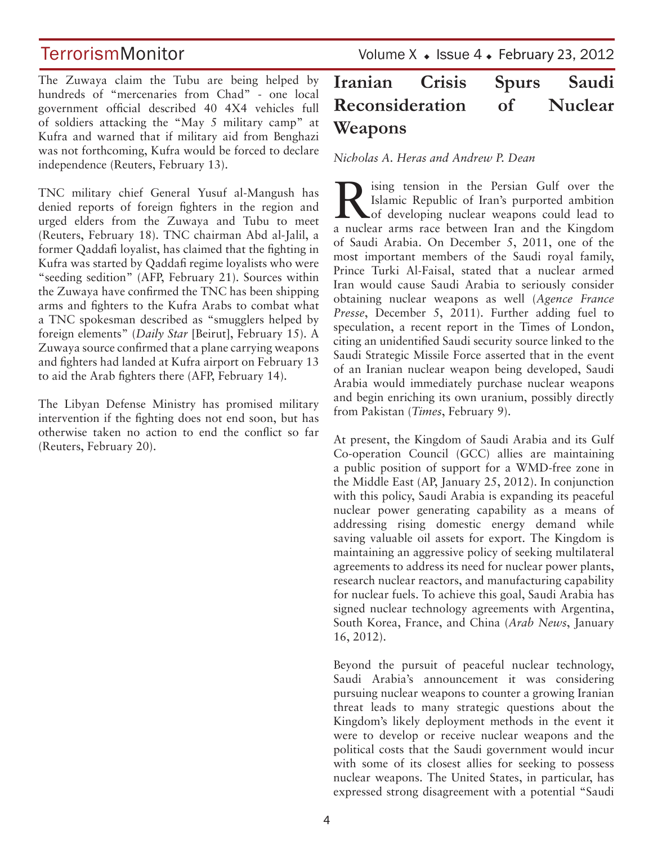The Zuwaya claim the Tubu are being helped by hundreds of "mercenaries from Chad" - one local government official described 40 4X4 vehicles full of soldiers attacking the "May 5 military camp" at Kufra and warned that if military aid from Benghazi was not forthcoming, Kufra would be forced to declare independence (Reuters, February 13).

TNC military chief General Yusuf al-Mangush has denied reports of foreign fighters in the region and urged elders from the Zuwaya and Tubu to meet (Reuters, February 18). TNC chairman Abd al-Jalil, a former Qaddafi loyalist, has claimed that the fighting in Kufra was started by Qaddafi regime loyalists who were "seeding sedition" (AFP, February 21). Sources within the Zuwaya have confirmed the TNC has been shipping arms and fighters to the Kufra Arabs to combat what a TNC spokesman described as "smugglers helped by foreign elements" (*Daily Star* [Beirut], February 15). A Zuwaya source confirmed that a plane carrying weapons and fighters had landed at Kufra airport on February 13 to aid the Arab fighters there (AFP, February 14).

The Libyan Defense Ministry has promised military intervention if the fighting does not end soon, but has otherwise taken no action to end the conflict so far (Reuters, February 20).

TerrorismMonitor Volume X + Issue 4 + February 23, 2012

## **Iranian Crisis Spurs Saudi Reconsideration of Nuclear Weapons**

*Nicholas A. Heras and Andrew P. Dean*

Rising tension in the Persian Gulf over the Islamic Republic of Iran's purported ambition<br>
of developing nuclear weapons could lead to Islamic Republic of Iran's purported ambition a nuclear arms race between Iran and the Kingdom of Saudi Arabia. On December 5, 2011, one of the most important members of the Saudi royal family, Prince Turki Al-Faisal, stated that a nuclear armed Iran would cause Saudi Arabia to seriously consider obtaining nuclear weapons as well (*Agence France Presse*, December 5, 2011). Further adding fuel to speculation, a recent report in the Times of London, citing an unidentified Saudi security source linked to the Saudi Strategic Missile Force asserted that in the event of an Iranian nuclear weapon being developed, Saudi Arabia would immediately purchase nuclear weapons and begin enriching its own uranium, possibly directly from Pakistan (*Times*, February 9).

At present, the Kingdom of Saudi Arabia and its Gulf Co-operation Council (GCC) allies are maintaining a public position of support for a WMD-free zone in the Middle East (AP, January 25, 2012). In conjunction with this policy, Saudi Arabia is expanding its peaceful nuclear power generating capability as a means of addressing rising domestic energy demand while saving valuable oil assets for export. The Kingdom is maintaining an aggressive policy of seeking multilateral agreements to address its need for nuclear power plants, research nuclear reactors, and manufacturing capability for nuclear fuels. To achieve this goal, Saudi Arabia has signed nuclear technology agreements with Argentina, South Korea, France, and China (*Arab News*, January 16, 2012).

Beyond the pursuit of peaceful nuclear technology, Saudi Arabia's announcement it was considering pursuing nuclear weapons to counter a growing Iranian threat leads to many strategic questions about the Kingdom's likely deployment methods in the event it were to develop or receive nuclear weapons and the political costs that the Saudi government would incur with some of its closest allies for seeking to possess nuclear weapons. The United States, in particular, has expressed strong disagreement with a potential "Saudi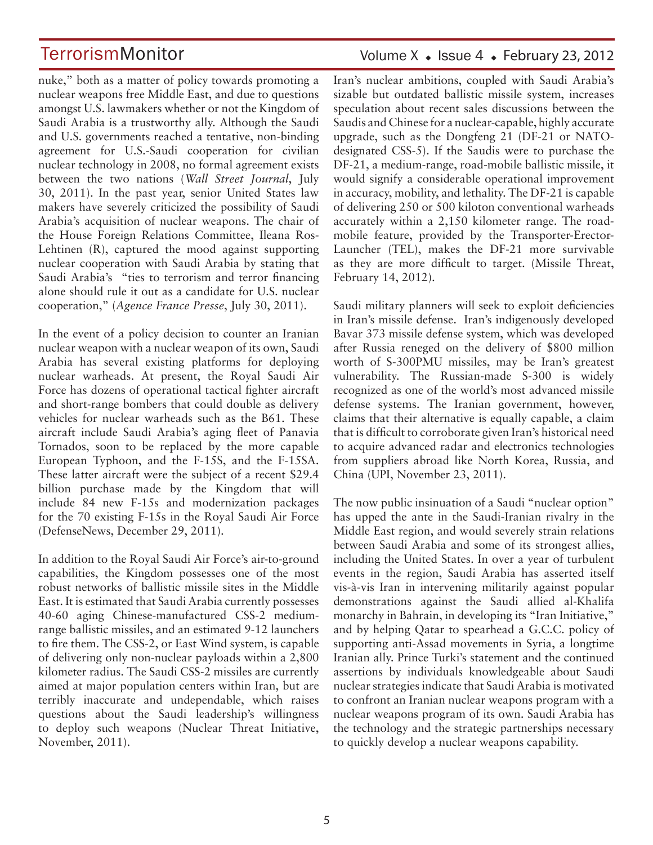nuke," both as a matter of policy towards promoting a nuclear weapons free Middle East, and due to questions amongst U.S. lawmakers whether or not the Kingdom of Saudi Arabia is a trustworthy ally. Although the Saudi and U.S. governments reached a tentative, non-binding agreement for U.S.-Saudi cooperation for civilian nuclear technology in 2008, no formal agreement exists between the two nations (*Wall Street Journal*, July 30, 2011). In the past year, senior United States law makers have severely criticized the possibility of Saudi Arabia's acquisition of nuclear weapons. The chair of the House Foreign Relations Committee, Ileana Ros-Lehtinen (R), captured the mood against supporting nuclear cooperation with Saudi Arabia by stating that Saudi Arabia's "ties to terrorism and terror financing alone should rule it out as a candidate for U.S. nuclear cooperation," (*Agence France Presse*, July 30, 2011).

In the event of a policy decision to counter an Iranian nuclear weapon with a nuclear weapon of its own, Saudi Arabia has several existing platforms for deploying nuclear warheads. At present, the Royal Saudi Air Force has dozens of operational tactical fighter aircraft and short-range bombers that could double as delivery vehicles for nuclear warheads such as the B61. These aircraft include Saudi Arabia's aging fleet of Panavia Tornados, soon to be replaced by the more capable European Typhoon, and the F-15S, and the F-15SA. These latter aircraft were the subject of a recent \$29.4 billion purchase made by the Kingdom that will include 84 new F-15s and modernization packages for the 70 existing F-15s in the Royal Saudi Air Force (DefenseNews, December 29, 2011).

In addition to the Royal Saudi Air Force's air-to-ground capabilities, the Kingdom possesses one of the most robust networks of ballistic missile sites in the Middle East. It is estimated that Saudi Arabia currently possesses 40-60 aging Chinese-manufactured CSS-2 mediumrange ballistic missiles, and an estimated 9-12 launchers to fire them. The CSS-2, or East Wind system, is capable of delivering only non-nuclear payloads within a 2,800 kilometer radius. The Saudi CSS-2 missiles are currently aimed at major population centers within Iran, but are terribly inaccurate and undependable, which raises questions about the Saudi leadership's willingness to deploy such weapons (Nuclear Threat Initiative, November, 2011).

## Volume  $X \triangleleft$  Issue 4  $\triangleleft$  February 23, 2012

Iran's nuclear ambitions, coupled with Saudi Arabia's sizable but outdated ballistic missile system, increases speculation about recent sales discussions between the Saudis and Chinese for a nuclear-capable, highly accurate upgrade, such as the Dongfeng 21 (DF-21 or NATOdesignated CSS-5). If the Saudis were to purchase the DF-21, a medium-range, road-mobile ballistic missile, it would signify a considerable operational improvement in accuracy, mobility, and lethality. The DF-21 is capable of delivering 250 or 500 kiloton conventional warheads accurately within a 2,150 kilometer range. The roadmobile feature, provided by the Transporter-Erector-Launcher (TEL), makes the DF-21 more survivable as they are more difficult to target. (Missile Threat, February 14, 2012).

Saudi military planners will seek to exploit deficiencies in Iran's missile defense. Iran's indigenously developed Bavar 373 missile defense system, which was developed after Russia reneged on the delivery of \$800 million worth of S-300PMU missiles, may be Iran's greatest vulnerability. The Russian-made S-300 is widely recognized as one of the world's most advanced missile defense systems. The Iranian government, however, claims that their alternative is equally capable, a claim that is difficult to corroborate given Iran's historical need to acquire advanced radar and electronics technologies from suppliers abroad like North Korea, Russia, and China (UPI, November 23, 2011).

The now public insinuation of a Saudi "nuclear option" has upped the ante in the Saudi-Iranian rivalry in the Middle East region, and would severely strain relations between Saudi Arabia and some of its strongest allies, including the United States. In over a year of turbulent events in the region, Saudi Arabia has asserted itself vis-à-vis Iran in intervening militarily against popular demonstrations against the Saudi allied al-Khalifa monarchy in Bahrain, in developing its "Iran Initiative," and by helping Qatar to spearhead a G.C.C. policy of supporting anti-Assad movements in Syria, a longtime Iranian ally. Prince Turki's statement and the continued assertions by individuals knowledgeable about Saudi nuclear strategies indicate that Saudi Arabia is motivated to confront an Iranian nuclear weapons program with a nuclear weapons program of its own. Saudi Arabia has the technology and the strategic partnerships necessary to quickly develop a nuclear weapons capability.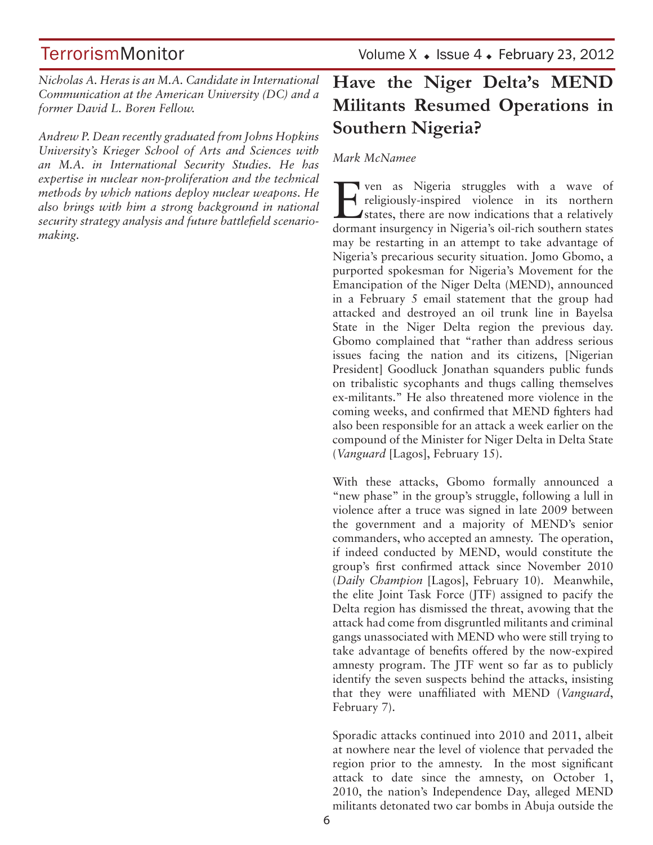TerrorismMonitor Volume X + Issue 4 + February 23, 2012

*Nicholas A. Heras is an M.A. Candidate in International Communication at the American University (DC) and a former David L. Boren Fellow.*

*Andrew P. Dean recently graduated from Johns Hopkins University's Krieger School of Arts and Sciences with an M.A. in International Security Studies. He has expertise in nuclear non-proliferation and the technical methods by which nations deploy nuclear weapons. He also brings with him a strong background in national security strategy analysis and future battlefield scenariomaking.*

## **Have the Niger Delta's MEND Militants Resumed Operations in Southern Nigeria?**

### *Mark McNamee*

The ven as Nigeria struggles with a wave of religiously-inspired violence in its northern states, there are now indications that a relatively dermant incurrency in Nigeria's cil rish southern states. religiously-inspired violence in its northern dormant insurgency in Nigeria's oil-rich southern states may be restarting in an attempt to take advantage of Nigeria's precarious security situation. Jomo Gbomo, a purported spokesman for Nigeria's Movement for the Emancipation of the Niger Delta (MEND), announced in a February 5 email statement that the group had attacked and destroyed an oil trunk line in Bayelsa State in the Niger Delta region the previous day. Gbomo complained that "rather than address serious issues facing the nation and its citizens, [Nigerian President] Goodluck Jonathan squanders public funds on tribalistic sycophants and thugs calling themselves ex-militants." He also threatened more violence in the coming weeks, and confirmed that MEND fighters had also been responsible for an attack a week earlier on the compound of the Minister for Niger Delta in Delta State (*Vanguard* [Lagos], February 15).

With these attacks, Gbomo formally announced a "new phase" in the group's struggle, following a lull in violence after a truce was signed in late 2009 between the government and a majority of MEND's senior commanders, who accepted an amnesty. The operation, if indeed conducted by MEND, would constitute the group's first confirmed attack since November 2010 (*Daily Champion* [Lagos], February 10). Meanwhile, the elite Joint Task Force (JTF) assigned to pacify the Delta region has dismissed the threat, avowing that the attack had come from disgruntled militants and criminal gangs unassociated with MEND who were still trying to take advantage of benefits offered by the now-expired amnesty program. The JTF went so far as to publicly identify the seven suspects behind the attacks, insisting that they were unaffiliated with MEND (*Vanguard*, February 7).

Sporadic attacks continued into 2010 and 2011, albeit at nowhere near the level of violence that pervaded the region prior to the amnesty. In the most significant attack to date since the amnesty, on October 1, 2010, the nation's Independence Day, alleged MEND militants detonated two car bombs in Abuja outside the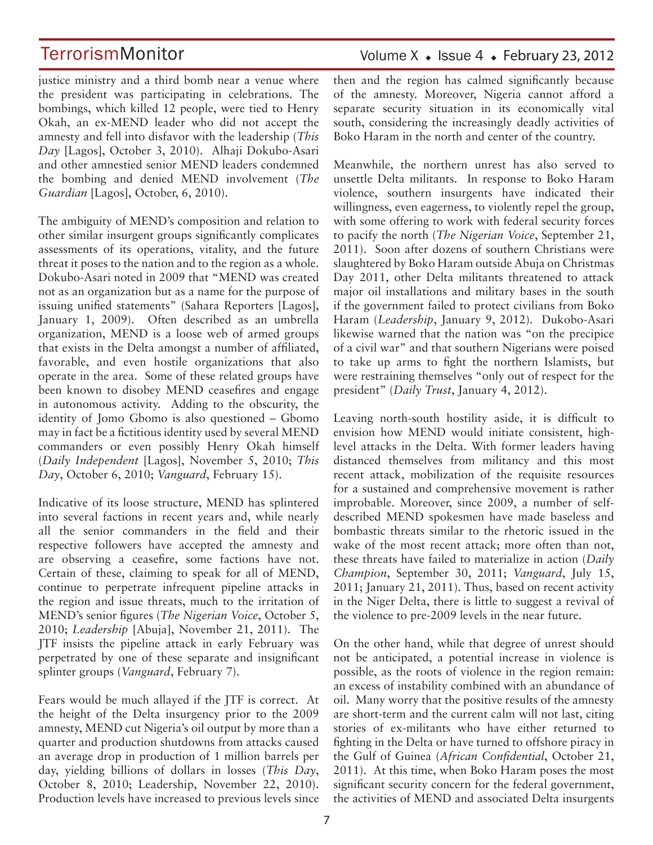justice ministry and a third bomb near a venue where the president was participating in celebrations. The bombings, which killed 12 people, were tied to Henry Okah, an ex-MEND leader who did not accept the amnesty and fell into disfavor with the leadership (*This Day* [Lagos], October 3, 2010). Alhaji Dokubo-Asari and other amnestied senior MEND leaders condemned the bombing and denied MEND involvement (*The Guardian* [Lagos], October, 6, 2010).

The ambiguity of MEND's composition and relation to other similar insurgent groups significantly complicates assessments of its operations, vitality, and the future threat it poses to the nation and to the region as a whole. Dokubo-Asari noted in 2009 that "MEND was created not as an organization but as a name for the purpose of issuing unified statements" (Sahara Reporters [Lagos], January 1, 2009). Often described as an umbrella organization, MEND is a loose web of armed groups that exists in the Delta amongst a number of affiliated, favorable, and even hostile organizations that also operate in the area. Some of these related groups have been known to disobey MEND ceasefires and engage in autonomous activity. Adding to the obscurity, the identity of Jomo Gbomo is also questioned – Gbomo may in fact be a fictitious identity used by several MEND commanders or even possibly Henry Okah himself (*Daily Independent* [Lagos], November 5, 2010; *This Day*, October 6, 2010; *Vanguard*, February 15).

Indicative of its loose structure, MEND has splintered into several factions in recent years and, while nearly all the senior commanders in the field and their respective followers have accepted the amnesty and are observing a ceasefire, some factions have not. Certain of these, claiming to speak for all of MEND, continue to perpetrate infrequent pipeline attacks in the region and issue threats, much to the irritation of MEND's senior figures (*The Nigerian Voice*, October 5, 2010; *Leadership* [Abuja], November 21, 2011). The JTF insists the pipeline attack in early February was perpetrated by one of these separate and insignificant splinter groups (*Vanguard*, February 7).

Fears would be much allayed if the JTF is correct. At the height of the Delta insurgency prior to the 2009 amnesty, MEND cut Nigeria's oil output by more than a quarter and production shutdowns from attacks caused an average drop in production of 1 million barrels per day, yielding billions of dollars in losses (*This Day*, October 8, 2010; Leadership, November 22, 2010). Production levels have increased to previous levels since

## Volume  $X \triangleleft$  Issue 4  $\triangleleft$  February 23, 2012

then and the region has calmed significantly because of the amnesty. Moreover, Nigeria cannot afford a separate security situation in its economically vital south, considering the increasingly deadly activities of Boko Haram in the north and center of the country.

Meanwhile, the northern unrest has also served to unsettle Delta militants. In response to Boko Haram violence, southern insurgents have indicated their willingness, even eagerness, to violently repel the group, with some offering to work with federal security forces to pacify the north (*The Nigerian Voice*, September 21, 2011). Soon after dozens of southern Christians were slaughtered by Boko Haram outside Abuja on Christmas Day 2011, other Delta militants threatened to attack major oil installations and military bases in the south if the government failed to protect civilians from Boko Haram (*Leadership*, January 9, 2012). Dukobo-Asari likewise warned that the nation was "on the precipice of a civil war" and that southern Nigerians were poised to take up arms to fight the northern Islamists, but were restraining themselves "only out of respect for the president" (*Daily Trust*, January 4, 2012).

Leaving north-south hostility aside, it is difficult to envision how MEND would initiate consistent, highlevel attacks in the Delta. With former leaders having distanced themselves from militancy and this most recent attack, mobilization of the requisite resources for a sustained and comprehensive movement is rather improbable. Moreover, since 2009, a number of selfdescribed MEND spokesmen have made baseless and bombastic threats similar to the rhetoric issued in the wake of the most recent attack; more often than not, these threats have failed to materialize in action (*Daily Champion*, September 30, 2011; *Vanguard*, July 15, 2011; January 21, 2011). Thus, based on recent activity in the Niger Delta, there is little to suggest a revival of the violence to pre-2009 levels in the near future.

On the other hand, while that degree of unrest should not be anticipated, a potential increase in violence is possible, as the roots of violence in the region remain: an excess of instability combined with an abundance of oil. Many worry that the positive results of the amnesty are short-term and the current calm will not last, citing stories of ex-militants who have either returned to fighting in the Delta or have turned to offshore piracy in the Gulf of Guinea (*African Confidential*, October 21, 2011). At this time, when Boko Haram poses the most significant security concern for the federal government, the activities of MEND and associated Delta insurgents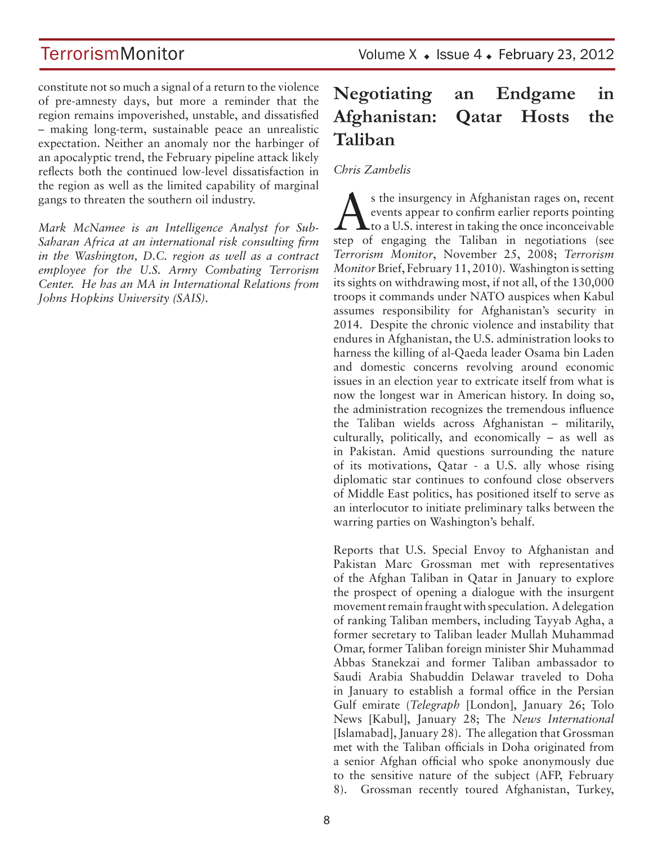constitute not so much a signal of a return to the violence of pre-amnesty days, but more a reminder that the region remains impoverished, unstable, and dissatisfied – making long-term, sustainable peace an unrealistic expectation. Neither an anomaly nor the harbinger of an apocalyptic trend, the February pipeline attack likely reflects both the continued low-level dissatisfaction in the region as well as the limited capability of marginal gangs to threaten the southern oil industry.

*Mark McNamee is an Intelligence Analyst for Sub-Saharan Africa at an international risk consulting firm in the Washington, D.C. region as well as a contract employee for the U.S. Army Combating Terrorism Center. He has an MA in International Relations from Johns Hopkins University (SAIS).*

## **Negotiating an Endgame in Afghanistan: Qatar Hosts the Taliban**

### *Chris Zambelis*

s the insurgency in Afghanistan rages on, recent<br>events appear to confirm earlier reports pointing<br>to a U.S. interest in taking the once inconceivable events appear to confirm earlier reports pointing  $\perp$   $\perp$  to a U.S. interest in taking the once inconceivable step of engaging the Taliban in negotiations (see *Terrorism Monitor*, November 25, 2008; *Terrorism Monitor* Brief, February 11, 2010). Washington is setting its sights on withdrawing most, if not all, of the 130,000 troops it commands under NATO auspices when Kabul assumes responsibility for Afghanistan's security in 2014. Despite the chronic violence and instability that endures in Afghanistan, the U.S. administration looks to harness the killing of al-Qaeda leader Osama bin Laden and domestic concerns revolving around economic issues in an election year to extricate itself from what is now the longest war in American history. In doing so, the administration recognizes the tremendous influence the Taliban wields across Afghanistan – militarily, culturally, politically, and economically – as well as in Pakistan. Amid questions surrounding the nature of its motivations, Qatar - a U.S. ally whose rising diplomatic star continues to confound close observers of Middle East politics, has positioned itself to serve as an interlocutor to initiate preliminary talks between the warring parties on Washington's behalf.

Reports that U.S. Special Envoy to Afghanistan and Pakistan Marc Grossman met with representatives of the Afghan Taliban in Qatar in January to explore the prospect of opening a dialogue with the insurgent movement remain fraught with speculation. A delegation of ranking Taliban members, including Tayyab Agha, a former secretary to Taliban leader Mullah Muhammad Omar, former Taliban foreign minister Shir Muhammad Abbas Stanekzai and former Taliban ambassador to Saudi Arabia Shabuddin Delawar traveled to Doha in January to establish a formal office in the Persian Gulf emirate (*Telegraph* [London], January 26; Tolo News [Kabul], January 28; The *News International*  [Islamabad], January 28). The allegation that Grossman met with the Taliban officials in Doha originated from a senior Afghan official who spoke anonymously due to the sensitive nature of the subject (AFP, February 8). Grossman recently toured Afghanistan, Turkey,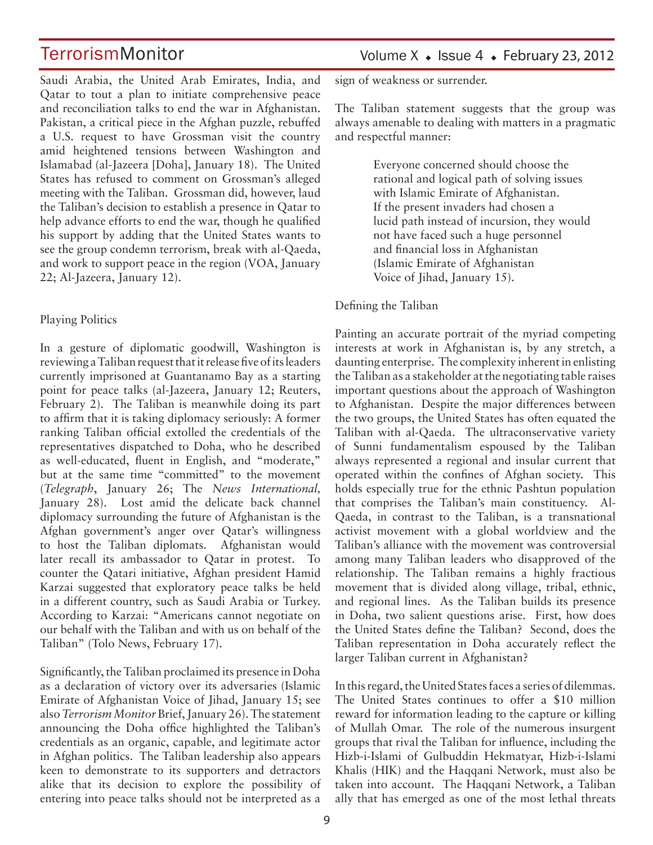Saudi Arabia, the United Arab Emirates, India, and Qatar to tout a plan to initiate comprehensive peace and reconciliation talks to end the war in Afghanistan. Pakistan, a critical piece in the Afghan puzzle, rebuffed a U.S. request to have Grossman visit the country amid heightened tensions between Washington and Islamabad (al-Jazeera [Doha], January 18). The United States has refused to comment on Grossman's alleged meeting with the Taliban. Grossman did, however, laud the Taliban's decision to establish a presence in Qatar to help advance efforts to end the war, though he qualified his support by adding that the United States wants to see the group condemn terrorism, break with al-Qaeda, and work to support peace in the region (VOA, January 22; Al-Jazeera, January 12).

### Playing Politics

In a gesture of diplomatic goodwill, Washington is reviewing a Taliban request that it release five of its leaders currently imprisoned at Guantanamo Bay as a starting point for peace talks (al-Jazeera, January 12; Reuters, February 2). The Taliban is meanwhile doing its part to affirm that it is taking diplomacy seriously: A former ranking Taliban official extolled the credentials of the representatives dispatched to Doha, who he described as well-educated, fluent in English, and "moderate," but at the same time "committed" to the movement (*Telegraph*, January 26; The *News International,* January 28). Lost amid the delicate back channel diplomacy surrounding the future of Afghanistan is the Afghan government's anger over Qatar's willingness to host the Taliban diplomats. Afghanistan would later recall its ambassador to Qatar in protest. To counter the Qatari initiative, Afghan president Hamid Karzai suggested that exploratory peace talks be held in a different country, such as Saudi Arabia or Turkey. According to Karzai: "Americans cannot negotiate on our behalf with the Taliban and with us on behalf of the Taliban" (Tolo News, February 17).

Significantly, the Taliban proclaimed its presence in Doha as a declaration of victory over its adversaries (Islamic Emirate of Afghanistan Voice of Jihad, January 15; see also *Terrorism Monitor* Brief, January 26). The statement announcing the Doha office highlighted the Taliban's credentials as an organic, capable, and legitimate actor in Afghan politics. The Taliban leadership also appears keen to demonstrate to its supporters and detractors alike that its decision to explore the possibility of entering into peace talks should not be interpreted as a

## Volume  $X \triangleleft$  Issue 4  $\triangleleft$  February 23, 2012

sign of weakness or surrender.

The Taliban statement suggests that the group was always amenable to dealing with matters in a pragmatic and respectful manner:

> Everyone concerned should choose the rational and logical path of solving issues with Islamic Emirate of Afghanistan. If the present invaders had chosen a lucid path instead of incursion, they would not have faced such a huge personnel and financial loss in Afghanistan (Islamic Emirate of Afghanistan Voice of Jihad, January 15).

### Defining the Taliban

Painting an accurate portrait of the myriad competing interests at work in Afghanistan is, by any stretch, a daunting enterprise. The complexity inherent in enlisting the Taliban as a stakeholder at the negotiating table raises important questions about the approach of Washington to Afghanistan. Despite the major differences between the two groups, the United States has often equated the Taliban with al-Qaeda. The ultraconservative variety of Sunni fundamentalism espoused by the Taliban always represented a regional and insular current that operated within the confines of Afghan society. This holds especially true for the ethnic Pashtun population that comprises the Taliban's main constituency. Al-Qaeda, in contrast to the Taliban, is a transnational activist movement with a global worldview and the Taliban's alliance with the movement was controversial among many Taliban leaders who disapproved of the relationship. The Taliban remains a highly fractious movement that is divided along village, tribal, ethnic, and regional lines. As the Taliban builds its presence in Doha, two salient questions arise. First, how does the United States define the Taliban? Second, does the Taliban representation in Doha accurately reflect the larger Taliban current in Afghanistan?

In this regard, the United States faces a series of dilemmas. The United States continues to offer a \$10 million reward for information leading to the capture or killing of Mullah Omar. The role of the numerous insurgent groups that rival the Taliban for influence, including the Hizb-i-Islami of Gulbuddin Hekmatyar, Hizb-i-Islami Khalis (HIK) and the Haqqani Network, must also be taken into account. The Haqqani Network, a Taliban ally that has emerged as one of the most lethal threats